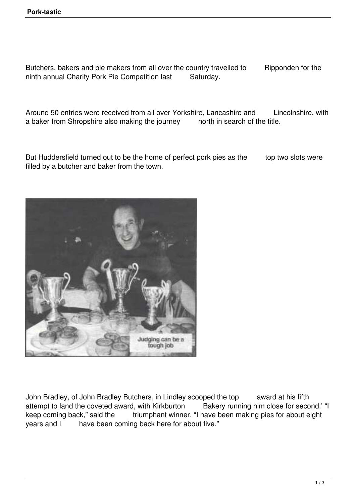Butchers, bakers and pie makers from all over the country travelled to Ripponden for the ninth annual Charity Pork Pie Competition last Saturday.

Around 50 entries were received from all over Yorkshire, Lancashire and Lincolnshire, with a baker from Shropshire also making the journey north in search of the title.

But Huddersfield turned out to be the home of perfect pork pies as the top two slots were filled by a butcher and baker from the town.



John Bradley, of John Bradley Butchers, in Lindley scooped the top award at his fifth attempt to land the coveted award, with Kirkburton Bakery running him close for second.' "I keep coming back," said the triumphant winner. "I have been making pies for about eight years and I have been coming back here for about five."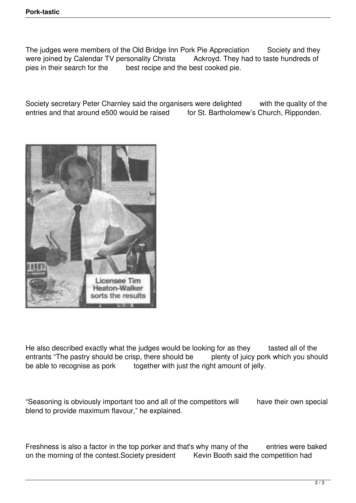The judges were members of the Old Bridge Inn Pork Pie Appreciation Society and they were joined by Calendar TV personality Christa Ackroyd. They had to taste hundreds of pies in their search for the best recipe and the best cooked pie.

Society secretary Peter Charnley said the organisers were delighted with the quality of the entries and that around e500 would be raised for St. Bartholomew's Church. Ripponden. for St. Bartholomew's Church, Ripponden.



He also described exactly what the judges would be looking for as they tasted all of the entrants "The pastry should be crisp, there should be plenty of juicy pork which you should be able to recognise as pork together with just the right amount of jelly.

"Seasoning is obviously important too and all of the competitors will have their own special blend to provide maximum flavour," he explained.

Freshness is also a factor in the top porker and that's why many of the entries were baked on the morning of the contest. Society president Kevin Booth said the competition had